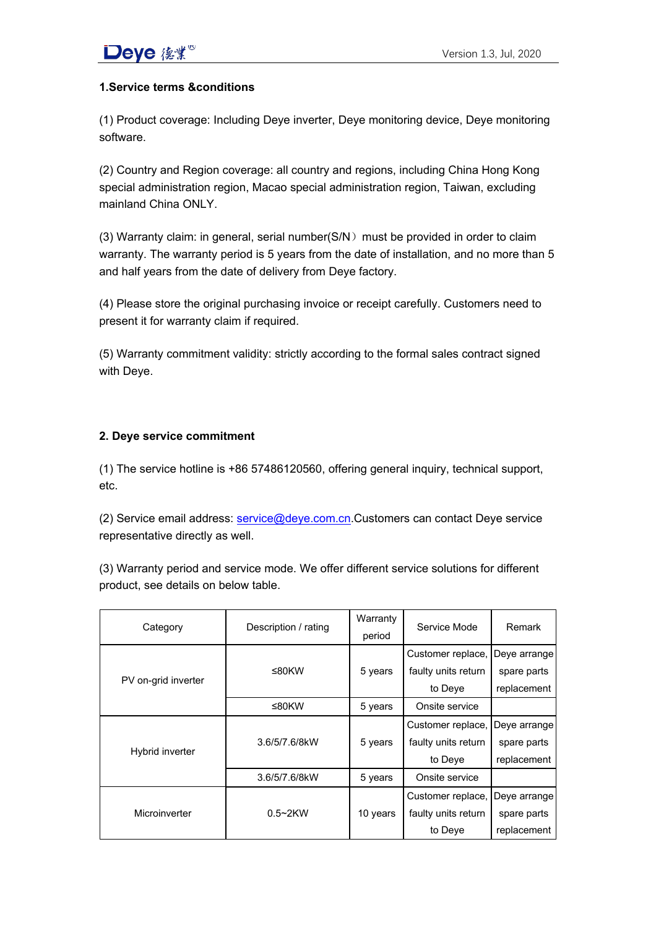## **1.Service terms &conditions**

(1) Product coverage: Including Deye inverter, Deye monitoring device, Deye monitoring software.

(2) Country and Region coverage: all country and regions, including China Hong Kong special administration region, Macao special administration region, Taiwan, excluding mainland China ONLY.

(3) Warranty claim: in general, serial number( $SN$ ) must be provided in order to claim warranty. The warranty period is 5 years from the date of installation, and no more than 5 and half years from the date of delivery from Deye factory.

(4) Please store the original purchasing invoice or receipt carefully. Customers need to present it for warranty claim if required.

(5) Warranty commitment validity: strictly according to the formal sales contract signed with Deye.

### **2. Deye service commitment**

(1) The service hotline is +86 57486120560, offering general inquiry, technical support, etc.

(2) Service email address: service@deye.com.cn.Customers can contact Deye service representative directly as well.

(3) Warranty period and service mode. We offer different service solutions for different product, see details on below table.

| Category            | Description / rating | Warranty<br>period | Service Mode        | Remark       |
|---------------------|----------------------|--------------------|---------------------|--------------|
| PV on-grid inverter | ≤80KW                | 5 years            | Customer replace,   | Deye arrange |
|                     |                      |                    | faulty units return | spare parts  |
|                     |                      |                    | to Deye             | replacement  |
|                     | ≤80KW                | 5 years            | Onsite service      |              |
| Hybrid inverter     | 3.6/5/7.6/8kW        | 5 years            | Customer replace,   | Deye arrange |
|                     |                      |                    | faulty units return | spare parts  |
|                     |                      |                    | to Deye             | replacement  |
|                     | 3.6/5/7.6/8kW        | 5 years            | Onsite service      |              |
| Microinverter       | $0.5 \sim 2$ KW      | 10 years           | Customer replace,   | Deve arrange |
|                     |                      |                    | faulty units return | spare parts  |
|                     |                      |                    | to Deve             | replacement  |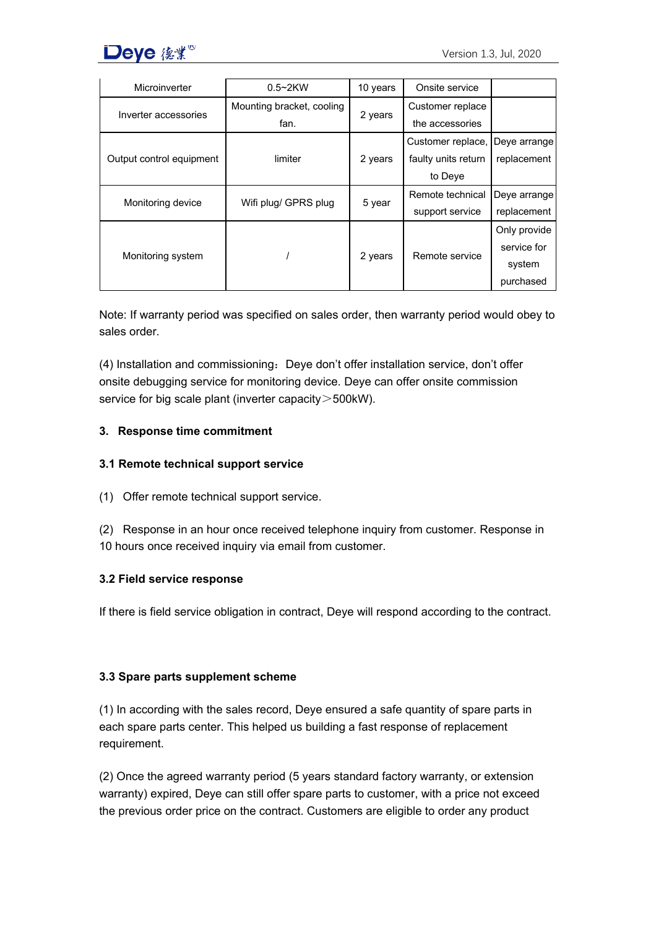

| Microinverter            | $0.5 \sim 2$ KW           | 10 years | Onsite service                 |              |
|--------------------------|---------------------------|----------|--------------------------------|--------------|
| Inverter accessories     | Mounting bracket, cooling | 2 years  | Customer replace               |              |
|                          | fan.                      |          | the accessories                |              |
| Output control equipment | limiter                   | 2 years  | Customer replace, Deye arrange |              |
|                          |                           |          | faulty units return            | replacement  |
|                          |                           |          | to Deye                        |              |
| Monitoring device        | Wifi plug/ GPRS plug      | 5 year   | Remote technical               | Deve arrange |
|                          |                           |          | support service                | replacement  |
| Monitoring system        |                           | 2 years  | Remote service                 | Only provide |
|                          |                           |          |                                | service for  |
|                          |                           |          |                                | system       |
|                          |                           |          |                                | purchased    |

Note: If warranty period was specified on sales order, then warranty period would obey to sales order.

(4) Installation and commissioning:Deye don't offer installation service, don't offer onsite debugging service for monitoring device. Deye can offer onsite commission service for big scale plant (inverter capacity > 500kW).

#### **3. Response time commitment**

#### **3.1 Remote technical support service**

- (1) Offer remote technical support service.
- (2) Response in an hour once received telephone inquiry from customer. Response in 10 hours once received inquiry via email from customer.

#### **3.2 Field service response**

If there is field service obligation in contract, Deye will respond according to the contract.

#### **3.3 Spare parts supplement scheme**

(1) In according with the sales record, Deye ensured a safe quantity of spare parts in each spare parts center. This helped us building a fast response of replacement requirement.

(2) Once the agreed warranty period (5 years standard factory warranty, or extension warranty) expired, Deye can still offer spare parts to customer, with a price not exceed the previous order price on the contract. Customers are eligible to order any product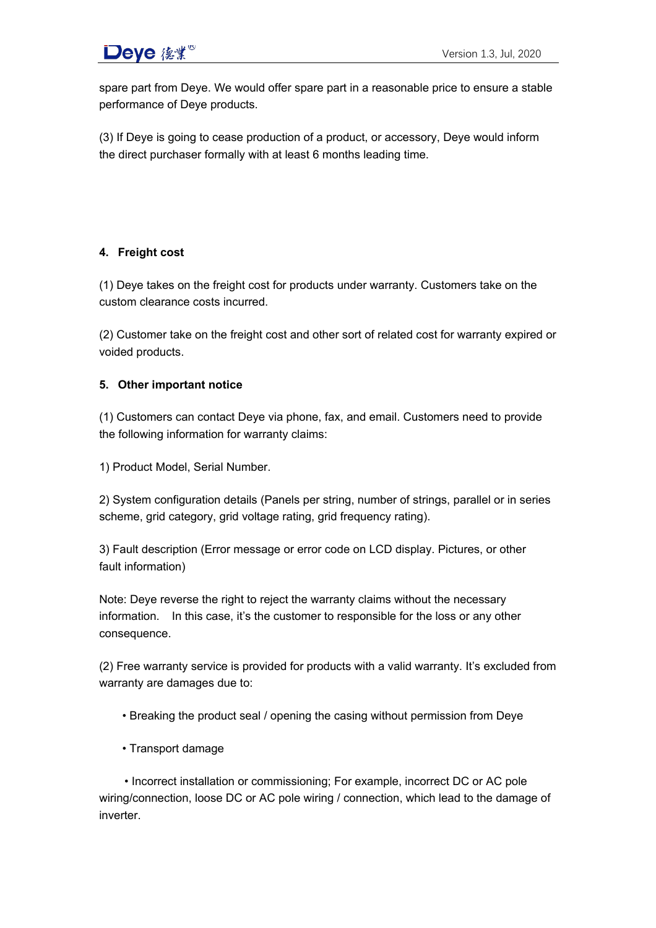# **Deye** 後業 $^{\circ}$  and the contract of the contract of the Version 1.3, Jul, 2020

spare part from Deye. We would offer spare part in a reasonable price to ensure a stable performance of Deye products.

(3) If Deye is going to cease production of a product, or accessory, Deye would inform the direct purchaser formally with at least 6 months leading time.

# **4. Freight cost**

(1) Deye takes on the freight cost for products under warranty. Customers take on the custom clearance costs incurred.

(2) Customer take on the freight cost and other sort of related cost for warranty expired or voided products.

### **5. Other important notice**

(1) Customers can contact Deye via phone, fax, and email. Customers need to provide the following information for warranty claims:

1) Product Model, Serial Number.

2) System configuration details (Panels per string, number of strings, parallel or in series scheme, grid category, grid voltage rating, grid frequency rating).

3) Fault description (Error message or error code on LCD display. Pictures, or other fault information)

Note: Deye reverse the right to reject the warranty claims without the necessary information. In this case, it's the customer to responsible for the loss or any other consequence.

(2) Free warranty service is provided for products with a valid warranty. It's excluded from warranty are damages due to:

- Breaking the product seal / opening the casing without permission from Deye
- Transport damage

• Incorrect installation or commissioning; For example, incorrect DC or AC pole wiring/connection, loose DC or AC pole wiring / connection, which lead to the damage of inverter.